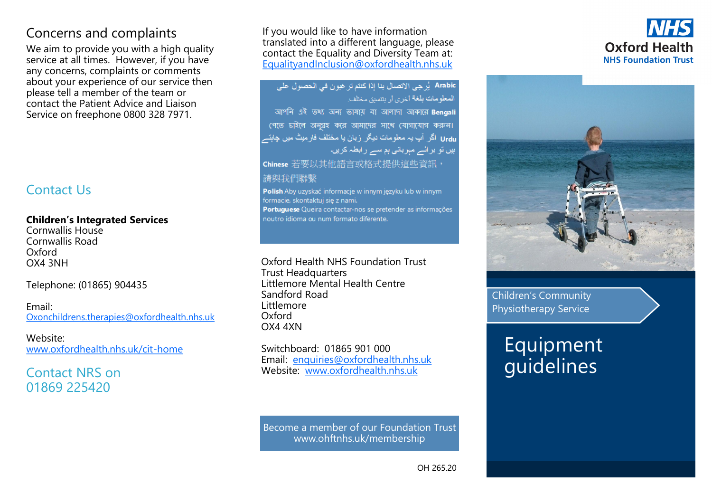# Concerns and complaints

We aim to provide you with a high quality service at all times. However, if you have any concerns, complaints or comments about your experience of our service then please tell a member of the team or contact the Patient Advice and Liaison Service on freephone 0800 328 7971.

# Contact Us

#### **Children's Integrated Services**

Cornwallis House Cornwallis Road Oxford OX4 3NH

Telephone: (01865) 904435

Email: [Oxonchildrens.therapies@oxfordhealth.nhs.uk](mailto:Oxonchildrens.therapies@oxfordhealth.nhs.uk)

### Website:

[www.oxfordhealth.nhs.uk/cit](http://www.oxfordhealth.nhs.uk/cit-home)-home

### Contact NRS on 01869 225420

If you would like to have information translated into a different language, please contact the Equality and Diversity Team at: [EqualityandInclusion@oxfordhealth.nhs.uk](mailto:EqualityandInclusion@oxfordhealth.nhs.uk)

Arabic أَرْ هِي الإتصال بنا إذا كنتم تر غبو ن في الحصول على المعلومات بلغة أخرى أو بنتسبق مختلف আপনি এই তথ্য অন্য ভাষায় বা আলাদা আকারে Bengali পেতে চাইলে অনুগ্রহ করে আমাদের সাথে যোগাযোগ করুন। Urdu اگر آپ بہ معلومات دیگر زبان یا مختلف فارمیٹ میں چاہتہ ہیں تو برائے مہربانی ہم سے رابطہ کریں۔ Chinese 若要以其他語言或格式提供這些資訊, 請與我們聯繫 Polish Aby uzyskać informacje w innym języku lub w innym

formacie, skontaktui sie z nami. Portuguese Queira contactar-nos se pretender as informações noutro idioma ou num formato diferente.

Oxford Health NHS Foundation Trust Trust Headquarters Littlemore Mental Health Centre Sandford Road Littlemore Oxford OX4 4XN

Switchboard: 01865 901 000 Email: enquiries@oxfordhealth.nhs.uk Website: www.oxfordhealth.nhs.uk

Become a member of our Foundation Trust www.ohftnhs.uk/membership





Children's Community Physiotherapy Service

# Equipment guidelines

OH 265.20